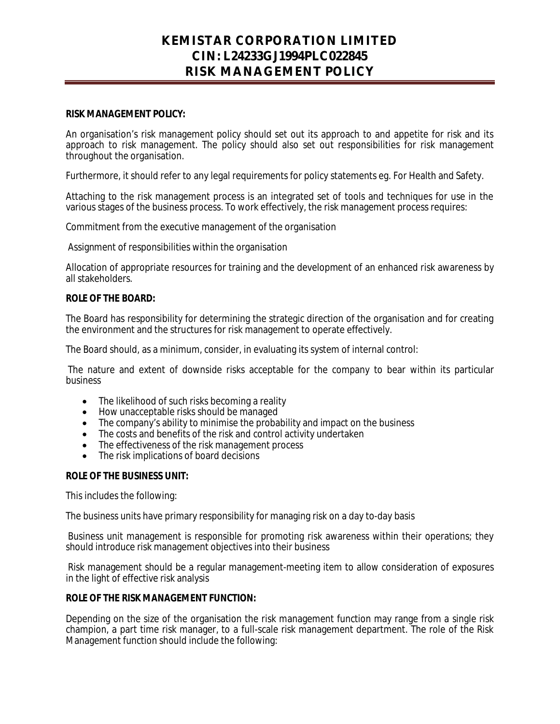## **KEMISTAR CORPORATION LIMITED CIN: L24233GJ1994PLC022845 RISK MANAGEMENT POLICY**

#### **RISK MANAGEMENT POLICY:**

An organisation's risk management policy should set out its approach to and appetite for risk and its approach to risk management. The policy should also set out responsibilities for risk management throughout the organisation.

Furthermore, it should refer to any legal requirements for policy statements eg. For Health and Safety.

Attaching to the risk management process is an integrated set of tools and techniques for use in the various stages of the business process. To work effectively, the risk management process requires:

Commitment from the executive management of the organisation

Assignment of responsibilities within the organisation

Allocation of appropriate resources for training and the development of an enhanced risk awareness by all stakeholders.

#### **ROLE OF THE BOARD:**

The Board has responsibility for determining the strategic direction of the organisation and for creating the environment and the structures for risk management to operate effectively.

The Board should, as a minimum, consider, in evaluating its system of internal control:

The nature and extent of downside risks acceptable for the company to bear within its particular business

- The likelihood of such risks becoming a reality
- How unacceptable risks should be managed
- The company's ability to minimise the probability and impact on the business
- $\bullet$  The costs and benefits of the risk and control activity undertaken
- The effectiveness of the risk management process
- The risk implications of board decisions

#### **ROLE OF THE BUSINESS UNIT:**

This includes the following:

The business units have primary responsibility for managing risk on a day to-day basis

Business unit management is responsible for promoting risk awareness within their operations; they should introduce risk management objectives into their business

Risk management should be a regular management-meeting item to allow consideration of exposures in the light of effective risk analysis

#### **ROLE OF THE RISK MANAGEMENT FUNCTION:**

Depending on the size of the organisation the risk management function may range from a single risk champion, a part time risk manager, to a full-scale risk management department. The role of the Risk Management function should include the following: